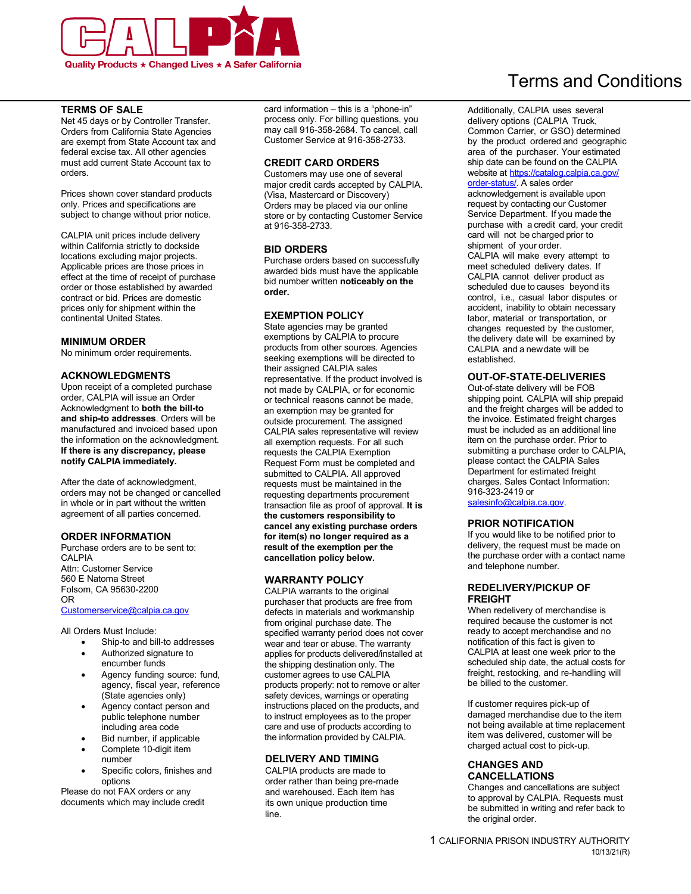

#### **TERMS OF SALE**

 Net 45 days or by Controller Transfer. Orders from California State Agencies are exempt from State Account tax and federal excise tax. All other agencies must add current State Account tax to orders.

 Prices shown cover standard products only. Prices and specifications are subject to change without prior notice.

 CALPIA unit prices include delivery within California strictly to dockside locations excluding major projects. Applicable prices are those prices in effect at the time of receipt of purchase order or those established by awarded contract or bid. Prices are domestic prices only for shipment within the continental United States.

#### **MINIMUM ORDER**

No minimum order requirements.

#### **ACKNOWLEDGMENTS**

 Upon receipt of a completed purchase order, CALPIA will issue an Order Acknowledgment to **both the bill-to and ship-to addresses**. Orders will be manufactured and invoiced based upon the information on the acknowledgment.  **If there is any discrepancy, please notify CALPIA immediately.** 

 After the date of acknowledgment, orders may not be changed or cancelled in whole or in part without the written agreement of all parties concerned.

#### **ORDER INFORMATION**

 Purchase orders are to be sent to: Attn: Customer Service 560 E Natoma Street Folsom, CA 95630-2200 CALPIA OR [Customerservice@calpia.ca.gov](mailto:Customerservice@calpia.ca.gov) 

All Orders Must Include:

- Ship-to and bill-to addresses
- • Authorized signature to encumber funds
- • Agency funding source: fund, agency, fiscal year, reference (State agencies only)
- • Agency contact person and public telephone number including area code
- Bid number, if applicable
- • Complete 10-digit item number
- • Specific colors, finishes and options

 Please do not FAX orders or any documents which may include credit  card information – this is a "phone-in" process only. For billing questions, you may call 916-358-2684. To cancel, call Customer Service at 916-358-2733.

#### **CREDIT CARD ORDERS**

 Customers may use one of several major credit cards accepted by CALPIA. (Visa, Mastercard or Discovery) Orders may be placed via our online store or by contacting Customer Service at 916-358-2733.

#### **BID ORDERS**

 Purchase orders based on successfully awarded bids must have the applicable bid number written **noticeably on the order.** 

#### **EXEMPTION POLICY**

State agencies may be granted exemptions by CALPIA to procure products from other sources. Agencies seeking exemptions will be directed to their assigned CALPIA sales representative. If the product involved is not made by CALPIA, or for economic or technical reasons cannot be made, an exemption may be granted for outside procurement. The assigned CALPIA sales representative will review all exemption requests. For all such requests the CALPIA Exemption Request Form must be completed and submitted to CALPIA. All approved requests must be maintained in the requesting departments procurement transaction file as proof of approval. **It is the customers responsibility to cancel any existing purchase orders for item(s) no longer required as a result of the exemption per the cancellation policy below.** 

#### **WARRANTY POLICY**

CALPIA warrants to the original purchaser that products are free from defects in materials and workmanship from original purchase date. The specified warranty period does not cover wear and tear or abuse. The warranty applies for products delivered/installed at the shipping destination only. The customer agrees to use CALPIA products properly: not to remove or alter safety devices, warnings or operating instructions placed on the products, and to instruct employees as to the proper care and use of products according to the information provided by CALPIA.

#### **DELIVERY AND TIMING**

CALPIA products are made to order rather than being pre-made and warehoused. Each item has its own unique production time line.

# Terms and Conditions

Additionally, CALPIA uses several delivery options (CALPIA Truck, Common Carrier, or GSO) determined by the product ordered and geographic area of the purchaser. Your estimated ship date can be found on the CALPIA website at [https://catalog.calpia.ca.gov/](https://catalog.calpia.ca.gov/order-status/) [order-status/.](https://catalog.calpia.ca.gov/order-status/) A sales order

acknowledgement is available upon request by contacting our Customer Service Department. If you made the purchase with a credit card, your credit card will not be charged prior to shipment of your order.

CALPIA will make every attempt to meet scheduled delivery dates. If CALPIA cannot deliver product as scheduled due to causes beyond its control, i.e., casual labor disputes or accident, inability to obtain necessary labor, material or transportation, or changes requested by the customer, the delivery date will be examined by CALPIA and a newdate will be established.

### **OUT-OF-STATE-DELIVERIES**

Out-of-state delivery will be FOB shipping point. CALPIA will ship prepaid and the freight charges will be added to the invoice. Estimated freight charges must be included as an additional line item on the purchase order. Prior to submitting a purchase order to CALPIA, please contact the CALPIA Sales Department for estimated freight charges. Sales Contact Information: 916-323-2419 or [salesinfo@calpia.ca.gov.](mailto:salesinfo@calpia.ca.gov)

#### **PRIOR NOTIFICATION**

 If you would like to be notified prior to delivery, the request must be made on the purchase order with a contact name and telephone number.

#### **REDELIVERY/PICKUP OF FREIGHT**

 required because the customer is not When redelivery of merchandise is ready to accept merchandise and no notification of this fact i[s gi](mailto:salesinfo@calpia.ca.gov)ven to CALPIA at least one week prior to the scheduled ship date, the actual costs for freight, restocking, and re-handling will be billed to the customer.

If customer requires pick-up of damaged merchandise due to the item not being available at time replacement item was delivered, customer will be charged actual cost to pick-up.

#### **CHANGES AND CANCELLATIONS**

Changes and cancellations are subject to approval by CALPIA. Requests must be submitted in writing and refer back to the original order.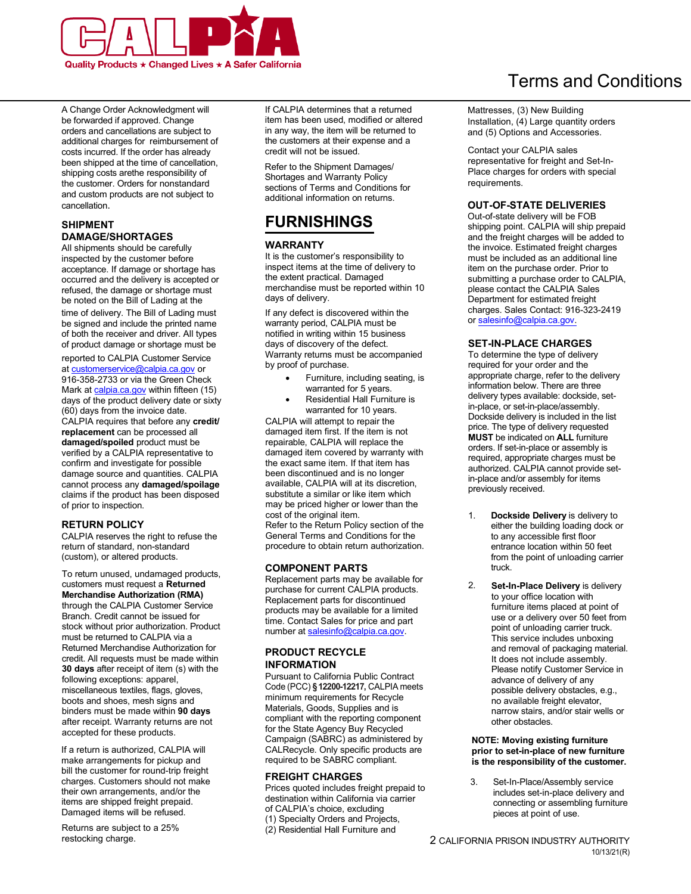

A Change Order Acknowledgment will be forwarded if approved. Change orders and cancellations are subject to additional charges for reimbursement of costs incurred. If the order has already been shipped at the time of cancellation, shipping costs arethe responsibility of the customer. Orders for nonstandard and custom products are not subject to cancellation.

#### **SHIPMENT DAMAGE/SHORTAGES**

All shipments should be carefully inspected by the customer before acceptance. If damage or shortage has occurred and the delivery is accepted or refused, the damage or shortage must be noted on the Bill of Lading at the time of delivery. The Bill of Lading must be sign[ed and include](https://www.calpia.ca.gov/) the printed name of both the receiver and driver. All types of product damage or shortage must be

reported to CALPIA Customer Service at [customerservice@calpia.ca.go](mailto:customerservice@calpia.ca.gov)v or 916-358-2733 or via the Green Check Mark at [calpia.ca.gov](https://calpia.ca.gov) within fifteen (15) days of the product delivery date or sixty (60) days from the invoice date. CALPIA requires that before any **credit/ replacement** can be processed all **damaged/spoiled** product must be verified by a CALPIA representative to confirm and investigate for possible damage source and quantities. CALPIA cannot process any **damaged/spoilage**  claims if the product has been disposed of prior to inspection.

#### **RETURN POLICY**

 CALPIA reserves the right to refuse the return of standard, non-standard (custom), or altered products.

To return unused, undamaged products, customers must request a **Returned Merchandise Authorization (RMA)**  through the CALPIA Customer Service Branch. Credit cannot be issued for stock without prior authorization. Product must be returned to CALPIA via a Returned Merchandise Authorization for credit. All requests must be made within **30 days** after receipt of item (s) with the following exceptions: apparel, miscellaneous textiles, flags, gloves, boots and shoes, mesh signs and binders must be made within **90 days**  after receipt. Warranty returns are not accepted for these products.

If a return is authorized, CALPIA will make arrangements for pickup and bill the customer for round-trip freight charges. Customers should not make their own arrangements, and/or the items are shipped freight prepaid. Damaged items will be refused.

Returns are subject to a 25% restocking charge.

If CALPIA determines that a returned item has been used, modified or altered in any way, the item will be returned to the customers at their expense and a credit will not be issued.

Refer to the Shipment Damages/ Shortages and Warranty Policy sections of Terms and Conditions for additional information on returns.

# **FURNISHINGS**

#### **WARRANTY**

It is the customer's responsibility to inspect items at the time of delivery to the extent practical. Damaged merchandise must be reported within 10 days of delivery.

If any defect is discovered within the warranty period, CALPIA must be notified in writing within 15 business days of discovery of the defect. Warranty returns must be accompanied by proof of purchase.

- • Furniture, including seating, is warranted for 5 years.
- • Residential Hall Furniture is warranted for 10 years.

 cost of the original item. CALPIA will attempt to repair the damaged item first. If the item is not repairable, CALPIA will replace the damaged item covered by warranty with the exact same item. If that item has been discontinued and is no longer available, CALPIA will at its discretion, substitute a similar or like item which may be priced higher or lower than the

Refer to the Return Policy section of the General Terms and Conditions for the procedure to obtain return authorization.

#### **COMPONENT PARTS**

Replacement parts may be available for purchase for current CALPIA products. Replacement parts for discontinued products may be available for a limited time. Contact Sales for price and part number at [salesinfo@calpia.ca.gov](mailto:salesinfo@calpia.ca.gov).

#### **PRODUCT RECYCLE INFORMATION**

 Pursuant to California Public Contract Code (PCC) **§12200-12217,** CALPIA meets minimum requirements for Recycle Materials, Goods, Supplies and is compliant with the reporting component for the State Agency Buy Recycled Campaign (SABRC) as administered by CALRecycle. Only specific products are required to be SABRC compliant.

#### **FREIGHT CHARGES**

Prices quoted includes freight prepaid to destination within California via carrier of CALPIA's choice, excluding (1) Specialty Orders and Projects, (2) Residential Hall Furniture and

# Terms and Conditions

Mattresses, (3) New Building Installation, (4) Large quantity orders and (5) Options and Accessories.

Contact your CALPIA sales representative for freight and Set-In-Place charges for orders with special requirements.

### **OUT-OF-STATE DELIVERIES**

 Out-of-state delivery will be FOB shipping point. CALPIA will ship prepaid and the freight charges will be added to the invoice. Estimated freight charges must be included as an additional line item on the purchase order. Prior to submitting a purchase order to CALPIA, please contact the CALPIA Sales Department for estimated freight charges. Sales Contact: 916-323-2419 or [salesinfo@calpia.ca.gov](mailto:salesinfo@calpia.ca.gov).

#### **SET-IN-PLACE CHARGES**

To determine the type of delivery required for your order and the appropriate charge, refer to the delivery information below. There are three delivery types available: dockside, setin-place, or set-in-place/assembly. Dockside delivery is included in the list price. The type of delivery requested **MUST** be indicated on **ALL** furniture orders. If set-in-place or assembly is required, appropriate charges must be authorized. CALPIA cannot provide setin-place and/or assembly for items previously received.

- 1. **Dockside Delivery** is delivery to either the building loading dock or to any accessible first floor entrance location within 50 feet from the point of unloading carrier truck.
- $\mathfrak{p}$ **Set-In-Place Delivery** is delivery to your office location with furniture items placed at point of use or a delivery over 50 feet from point of unloading carrier truck. This service includes unboxing and removal of packaging material. It does not include assembly. Please notify Customer Service in advance of delivery of any possible delivery obstacles, e.g., no available freight elevator, narrow stairs, and/or stair wells or other obstacles.

#### **is the responsibility of the customer. NOTE: Moving existing furniture prior to set-in-place of [ne](mailto:salesinfo@calpia.ca.gov)w furniture**

3. Set-In-Place/Assembly service includes set-in-place delivery and connecting or assembling furniture pieces at point of use.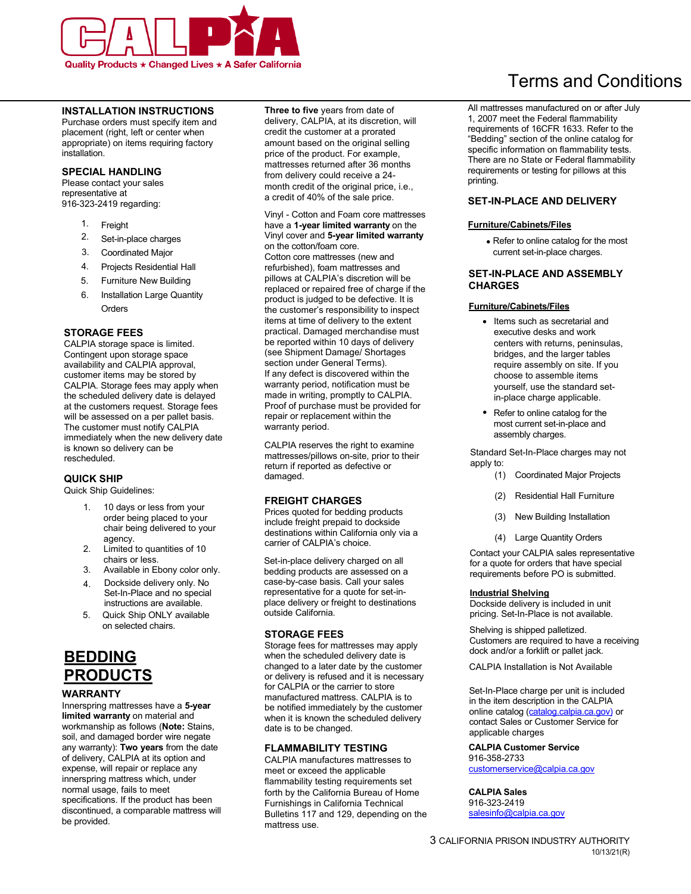

## **INSTALLATION INSTRUCTIONS**

Purchase orders must specify item and placement (right, left or center when appropriate) on items requiring factory installation.

#### **SPECIAL HANDLING**

 Please contact your sales representative at 916-323-2419 regarding:

- 1. Freight
- 2. Set-in-place charges
- 3. Coordinated Major
- 4. Projects Residential Hall
- 5. Furniture New Building
- 6. Installation Large Quantity Orders

#### **STORAGE FEES**

 is known so delivery can be CALPIA storage space is limited. Contingent upon storage space availability and CALPIA approval, customer items may be stored by CALPIA. Storage fees may apply when the scheduled delivery date is delayed at the customers request. Storage fees will be assessed on a per pallet basis. The customer must notify CALPIA immediately when the new delivery date rescheduled.

# **QUICK SHIP**

Quick Ship Guidelines:

- 1. 10 days or less from your order being placed to your chair being delivered to your agency.
- 2. Limited to quantities of 10 chairs or less.
- 3. Available in Ebony color only.
- 4. Dockside delivery only. No Set-In-Place and no special instructions are available.
- 5. Quick Ship ONLY available on selected chairs.

# **BEDDING PRODUCTS**

#### **WARRANTY**

Innerspring mattresses have a **5-year limited warranty** on material and workmanship as follows (**Note:** Stains, soil, and damaged border wire negate any warranty): **Two years** from the date of delivery, CALPIA at its option and expense, will repair or replace any innerspring mattress which, under normal usage, fails to meet specifications. If the product has been discontinued, a comparable mattress will be provided.

**Three to five** years from date of delivery, CALPIA, at its discretion, will credit the customer at a prorated amount based on the original selling price of the product. For example, mattresses returned after 36 months from delivery could receive a 24 month credit of the original price, i.e., a credit of 40% of the sale price.

Vinyl - Cotton and Foam core mattresses have a **1-year limited warranty** on the Vinyl cover and **5-year limited warranty**  on the cotton/foam core. Cotton core mattresses (new and refurbished), foam mattresses and pillows at CALPIA's discretion will be replaced or repaired free of charge if the product is judged to be defective. It is the customer's responsibility to inspect items at time of delivery to the extent practical. Damaged merchandise must be reported within 10 days of delivery (see Shipment Damage/ Shortages section under General Terms). If any defect is discovered within the warranty period, notification must be made in writing, promptly to CALPIA. Proof of purchase must be provided for repair or replacement within the warranty period.

CALPIA reserves the right to examine mattresses/pillows on-site, prior to their return if reported as defective or damaged.

#### **FREIGHT CHARGES**

Prices quoted for bedding products include freight prepaid to dockside destinations within California only via a carrier of CALPIA's choice.

Set-in-place delivery charged on all bedding products are assessed on a case-by-case basis. Call your sales representative for a quote for set-inplace delivery or freight to destinations outside California.

#### **STORAGE FEES**

 Storage fees for mattresses may apply when the scheduled delivery date is changed to a later date by the customer or delivery is refused and it is necessary for CALPIA or the carrier to store manufactured mattress. CALPIA is to be notified immediately by the customer when it is known the scheduled delivery date is to be changed.

#### **FLAMMABILITY TESTING**

CALPIA manufactures mattresses to meet or exceed the applicable flammability testing requirements set forth by the California Bureau of Home Furnishings in California Technical Bulletins 117 and 129, depending on the mattress use.

# Terms and Conditions

All mattresses manufactured on or after July 1, 2007 meet the Federal flammability requirements of 16CFR 1633. Refer to the "Bedding" section of the online catalog for specific information on flammability tests. There are no State or Federal flammability requirements or testing for pillows at this printing.

#### **SET-IN-PLACE AND DELIVERY**

#### **Furniture/Cabinets/Files**

• Refer to online catalog for the most current set-in-place charges.

#### **SET-IN-PLACE AND ASSEMBLY CHARGES**

### **Furniture/Cabinets/Files**

- Items such as secretarial and executive desks and work centers with returns, peninsulas, bridges, and the larger tables require assembly on site. If you choose to assemble items yourself, use the standard setin-place charge applicable.
- Refer to online catalog for the most current set-in-place and assembly charges.

Standard Set-In-Place charges may not apply to:

- (1) Coordinated Major Projects
- (2) Residential Hall Furniture
- (3) New Building Installation
- (4) Large Quantity Orders

Contact your CALPIA sales representative for a quote for orders that have special requirements before PO is submitted.

#### **Industrial Shelving**

Dockside delivery is included in unit pricing. Set-In-Place is not available.

Shelving is shipped palletized. Customers are required to have a receiving dock and/or a forklift or pallet jack.

CALPIA Installation is Not Available

Set-In-Place charge per unit is included in the item description in the CALPIA online catalog (catalog.[calpia.ca.gov](https://catalog.calpia.ca.gov/)) or contact Sales or Customer Service for applicable charges

#### **CALPIA Customer Service**  916-358-2733

[customerservice@calpia.ca.gov](mailto:customerservice@calpia.ca.gov) 

## **CALPIA Sales**

916-323-2419 [salesinfo@calpia.ca.gov](mailto:salesinfo@calpia.ca.gov)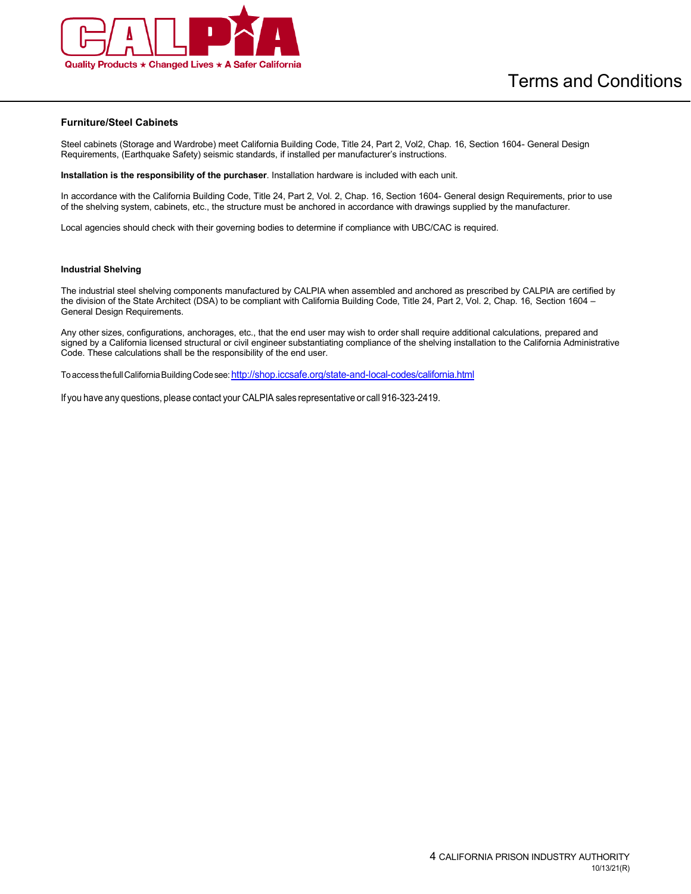

#### **Furniture/Steel Cabinets**

 Steel cabinets (Storage and Wardrobe) meet California Building Code, Title 24, Part 2, Vol2, Chap. 16, Section 1604- General Design Requirements, (Earthquake Safety) seismic standards, if installed per manufacturer's instructions.

 **Installation is the responsibility of the purchaser**. Installation hardware is included with each unit.

 In accordance with the California Building Code, Title 24, Part 2, Vol. 2, Chap. 16, Section 1604- General design Requirements, prior to use of the shelving system, cabinets, etc., the structure must be anchored in accordance with drawings supplied by the manufacturer.

Local agencies should check with their governing bodies to determine if compliance with UBC/CAC is required.

#### **Industrial Shelving**

 The industrial steel shelving components manufactured by CALPIA when assembled and anchored as prescribed by CALPIA are certified by the division of the State Architect (DSA) to be compliant with California Building Code, Title 24, Part 2, Vol. 2, Chap. 16, Section 1604 – General Design Requirements.

 Any other sizes, configurations, anchorages, etc., that the end user may wish to order shall require additional calculations, prepared and signed by a California licensed structural or civil engineer substantiating compliance of the shelving installation to the California Administrative Code. These calculations shall be the responsibility of the end user.

To accessthefull CaliforniaBuildingCodesee:<http://shop.iccsafe.org/state-and-local-codes/california.html>

If you have any questions, please contact your CALPIA sales representative or call 916-323-2419.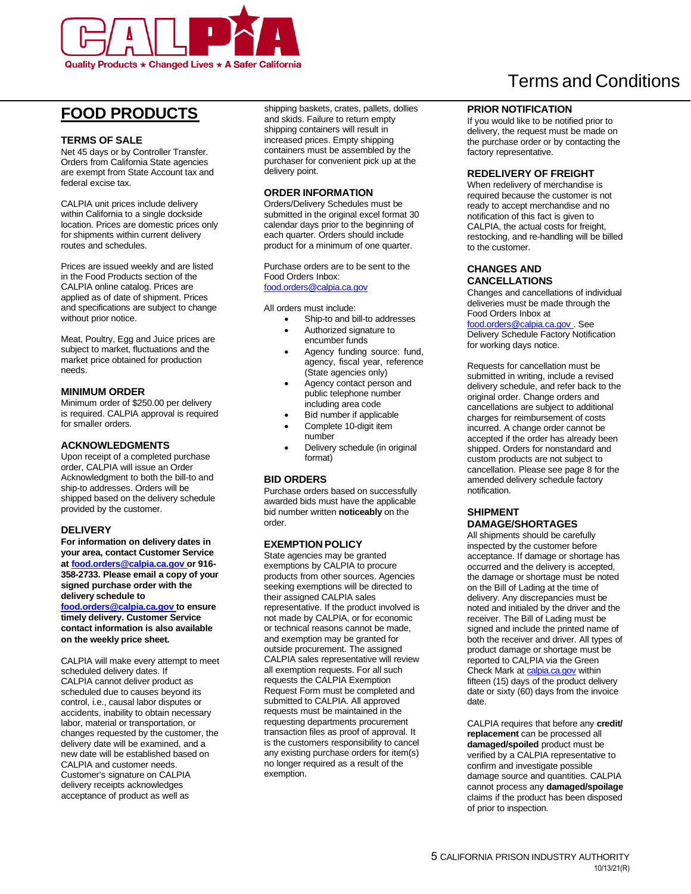

# **FOOD PRODUCTS**

## **TERMS OF SALE**

 Net 45 days or by Controller Transfer. Orders from California State agencies are exempt from State Account tax and federal excise tax.

 CALPIA unit prices include delivery location. Prices are domestic prices only for shipments within current delivery within California to a single dockside routes and schedules.

 Prices are issued weekly and are listed in the Food Products section of the CALPIA online catalog. Prices are applied as of date of shipment. Prices and specifications are subject to change without prior notice.

 Meat, Poultry, Egg and Juice prices are subject to market, fluctuations and the market price obtained for production needs.

#### **MINIMUM ORDER**

 Minimum order of \$250.00 per delivery is required. CALPIA approval is required for smaller orders.

#### **ACKNOWLEDGMENTS**

 Upon receipt of a completed purchase order, CALPIA will issue an Order Acknowledgment to both the bill-to and ship-to addresses. Orders will be shipped based on the delivery schedule provided by the customer.

#### **DELIVERY**

 **For information on delivery dates in your area, contact Customer Service a[t food.orders@calpia.ca.gov](mailto:food.orders@calpia.ca.gov) or 916- 358-2733. Please email a copy of your signed purchase order with the delivery schedule to** 

 **[food.orders@calpia.ca.gov t](mailto:food.orders@calpia.ca.gov)o ensure timely delivery. Customer Service on the weekly price sheet. contact information is also available** 

 CALPIA will make every attempt to meet scheduled delivery dates. If CALPIA cannot deliver product as scheduled due to causes beyond its control, i.e., causal labor disputes or accidents, inability to obtain necessary labor, material or transportation, or changes requested by the customer, the delivery date will be examined, and a new date will be established based on CALPIA and customer needs. Customer's signature on CALPIA delivery receipts acknowledges acceptance of product as well as

shipping baskets, crates, pallets, dollies and skids. Failure to return empty shipping containers will result in increased prices. Empty shipping containers must be assembled by the purchaser for convenient pick up at the delivery point.

#### **ORDER INFORMATION**

Orders/Delivery Schedules must be submitted in the original excel format 30 calendar days prior to the beginning of each quarter. Orders should include product for a minimum of one quarter.

Purchase orders are to be sent to the Food Orders Inbox: [food.orders@calpia.ca.gov](mailto:food.orders@calpia.ca.gov) 

All orders must include:

- Ship-to and bill-to addresses
- Authorized signature to encumber funds
- Agency funding source: fund, agency, fiscal year, reference (State agencies only)
- Agency contact person and public telephone number including area code
- Bid number if applicable Complete 10-digit item
- number
- Delivery schedule (in original format)

#### **BID ORDERS**

 Purchase orders based on successfully awarded bids must have the applicable bid number written **noticeably** on the order.

#### **EXEMPTION POLICY**

 State agencies may be granted exemptions by CALPIA to procure products from other sources. Agencies seeking exemptions will be directed to their assigned CALPIA sales representative. If the product involved is not made by CALPIA, or for economic or technical reasons cannot be made, outside procurement. The assigned CALPIA sales representative will review all exemption requests. For all such requests the CALPIA Exemption Request Form must be completed and submitted to CALPIA. All approved requests must be maintained in the transaction files as proof of approval. It is the customers responsibility to cancel any existing purchase orders for item(s) no longer required as a result of the and exemption may be granted for requesting departments procurement exemption.

# Terms and Conditions

#### **PRIOR NOTIFICATION**

 If you would like to be notified prior to delivery, the request must be made on the purchase order or by contacting the factory representative.

#### **REDELIVERY OF FREIGHT**

 When redelivery of merchandise is required because the customer is not ready to accept merchandise and no notification of this fact is given to CALPIA, the actual costs for freight, restocking, and re-handling will be billed to the customer.

#### **CHANGES AND CANCELLATIONS**

 Changes and cancellations of individual deliveries must be made through the Food Orders Inbox at

 [food.orders@calpia.ca.gov . S](mailto:food.orders@calpia.ca.gov)ee Delivery Schedule Factory Notification for working days notice.

 Requests for cancellation must be submitted in writing, include a revised delivery schedule, and refer back to the original order. Change orders and cancellations are subject to additional charges for reimbursement of costs incurred. A change order cannot be accepted if the order has already been shipped. Orders for nonstandard and custom products are not subject to cancellation. Please see page 8 for the amended delivery schedule factory notification.

# **SHIPMENT**

# **DAMAGE/SHORTAGES**

All shipments should be carefully inspected by the customer before acceptance. If damage or shortage has occurred and the delivery is accepted, the damage or shortage must be noted on the Bill of Lading at the time of delivery. Any discrepancies must be noted and initialed by the driver and the receiver. The Bill of Lading must be signed and include the printed name of both the receiver and driver. All types of product damage or shortage must be reported to CALPIA via the Green Check Mark at [calpia.ca.gov w](http://www.calpia.ca.gov/)ithin fifteen (15) days of the product delivery date or sixty (60) days from the invoice date.

CALPIA requires that before any **credit/ replacement** can be processed all **damaged/spoiled** product must be verified by a CALPIA representative to confirm and investigate possible damage source and quantities. CALPIA cannot process any **damaged/spoilage**  claims if the product has been disposed of prior to inspection.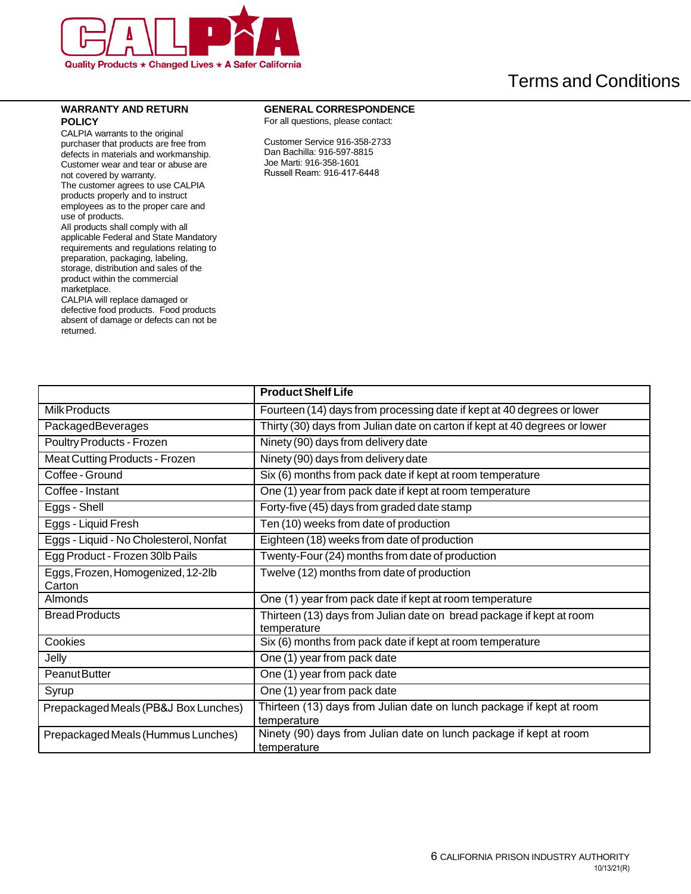

### **WARRANTY AND RETURN POLICY**

 CALPIA warrants to the original purchaser that products are free from defects in materials and workmanship. Customer wear and tear or abuse are not covered by warranty.

 The customer agrees to use CALPIA products properly and to instruct employees as to the proper care and use of products.

 All products shall comply with all applicable Federal and State Mandatory requirements and regulations relating to preparation, packaging, labeling, storage, distribution and sales of the product within the commercial marketplace.

 defective food products. Food products absent of damage or defects can not be CALPIA will replace damaged or returned.

## **GENERAL CORRESPONDENCE**

For all questions, please contact:

Customer Service 916-358-2733 Dan Bachilla: 916-597-8815 Joe Marti: 916-358-1601 Russell Ream: 916-417-6448

|                                             | <b>Product Shelf Life</b>                                                           |
|---------------------------------------------|-------------------------------------------------------------------------------------|
| Milk Products                               | Fourteen (14) days from processing date if kept at 40 degrees or lower              |
| PackagedBeverages                           | Thirty (30) days from Julian date on carton if kept at 40 degrees or lower          |
| Poultry Products - Frozen                   | Ninety (90) days from delivery date                                                 |
| <b>Meat Cutting Products - Frozen</b>       | Ninety (90) days from delivery date                                                 |
| Coffee - Ground                             | Six (6) months from pack date if kept at room temperature                           |
| Coffee - Instant                            | One (1) year from pack date if kept at room temperature                             |
| Eggs - Shell                                | Forty-five (45) days from graded date stamp                                         |
| Eggs - Liquid Fresh                         | Ten (10) weeks from date of production                                              |
| Eggs - Liquid - No Cholesterol, Nonfat      | Eighteen (18) weeks from date of production                                         |
| Egg Product - Frozen 30lb Pails             | Twenty-Four (24) months from date of production                                     |
| Eggs, Frozen, Homogenized, 12-2lb<br>Carton | Twelve (12) months from date of production                                          |
| Almonds                                     | One (1) year from pack date if kept at room temperature                             |
| <b>Bread Products</b>                       | Thirteen (13) days from Julian date on bread package if kept at room<br>temperature |
| Cookies                                     | Six (6) months from pack date if kept at room temperature                           |
| Jelly                                       | One (1) year from pack date                                                         |
| Peanut Butter                               | One (1) year from pack date                                                         |
| Syrup                                       | One (1) year from pack date                                                         |
| Prepackaged Meals (PB&J Box Lunches)        | Thirteen (13) days from Julian date on lunch package if kept at room<br>temperature |
| Prepackaged Meals (Hummus Lunches)          | Ninety (90) days from Julian date on lunch package if kept at room<br>temperature   |